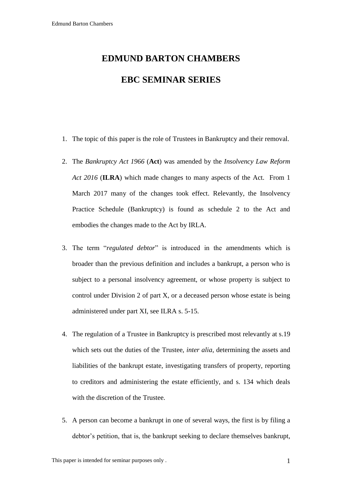## **EDMUND BARTON CHAMBERS EBC SEMINAR SERIES**

- 1. The topic of this paper is the role of Trustees in Bankruptcy and their removal.
- 2. The *Bankruptcy Act 1966* (**Act**) was amended by the *Insolvency Law Reform Act 2016* (**ILRA**) which made changes to many aspects of the Act. From 1 March 2017 many of the changes took effect. Relevantly, the Insolvency Practice Schedule (Bankruptcy) is found as schedule 2 to the Act and embodies the changes made to the Act by IRLA.
- 3. The term "*regulated debtor*" is introduced in the amendments which is broader than the previous definition and includes a bankrupt, a person who is subject to a personal insolvency agreement, or whose property is subject to control under Division 2 of part X, or a deceased person whose estate is being administered under part XI, see ILRA s. 5-15.
- 4. The regulation of a Trustee in Bankruptcy is prescribed most relevantly at s.19 which sets out the duties of the Trustee, *inter alia*, determining the assets and liabilities of the bankrupt estate, investigating transfers of property, reporting to creditors and administering the estate efficiently, and s. 134 which deals with the discretion of the Trustee.
- 5. A person can become a bankrupt in one of several ways, the first is by filing a debtor's petition, that is, the bankrupt seeking to declare themselves bankrupt,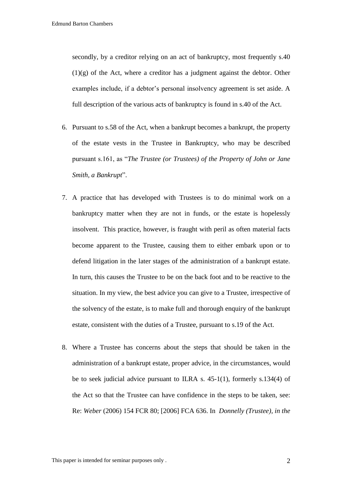secondly, by a creditor relying on an act of bankruptcy, most frequently s.40  $(1)(g)$  of the Act, where a creditor has a judgment against the debtor. Other examples include, if a debtor's personal insolvency agreement is set aside. A full description of the various acts of bankruptcy is found in s.40 of the Act.

- 6. Pursuant to s.58 of the Act, when a bankrupt becomes a bankrupt, the property of the estate vests in the Trustee in Bankruptcy, who may be described pursuant s.161, as "*The Trustee (or Trustees) of the Property of John or Jane Smith, a Bankrupt*".
- 7. A practice that has developed with Trustees is to do minimal work on a bankruptcy matter when they are not in funds, or the estate is hopelessly insolvent. This practice, however, is fraught with peril as often material facts become apparent to the Trustee, causing them to either embark upon or to defend litigation in the later stages of the administration of a bankrupt estate. In turn, this causes the Trustee to be on the back foot and to be reactive to the situation. In my view, the best advice you can give to a Trustee, irrespective of the solvency of the estate, is to make full and thorough enquiry of the bankrupt estate, consistent with the duties of a Trustee, pursuant to s.19 of the Act.
- 8. Where a Trustee has concerns about the steps that should be taken in the administration of a bankrupt estate, proper advice, in the circumstances, would be to seek judicial advice pursuant to ILRA s.  $45-1(1)$ , formerly s.134(4) of the Act so that the Trustee can have confidence in the steps to be taken, see: Re: *Weber* [\(2006\) 154 FCR 80;](http://www.austlii.edu.au/cgi-bin/LawCite?cit=%282006%29%20154%20FCR%2080) [\[2006\] FCA 636.](http://www.austlii.edu.au/au/cases/cth/FCA/2006/636.html) In *Donnelly (Trustee), in the*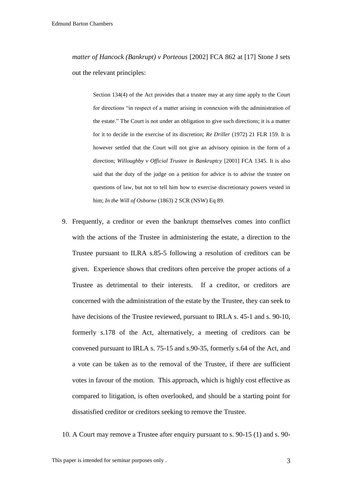*matter of Hancock (Bankrupt) v Porteous* [\[2002\] FCA 862 a](http://www.austlii.edu.au/au/cases/cth/FCA/2002/607.html)t [\[17\]](http://www.austlii.edu.au/au/cases/cth/FCA/2002/607.html#para17) Stone J sets out the relevant principles:

[Section 134\(4\)](http://www.austlii.edu.au/au/legis/cth/consol_act/ba1966142/s134.html) of the Act provides that a trustee may at any time apply to the Court for directions "in respect of a matter arising in connexion with the administration of the estate." The Court is not under an obligation to give such directions; it is a matter for it to decide in the exercise of its discretion; *Re Driller* [\(1972\) 21 FLR 159.](http://www.austlii.edu.au/cgi-bin/LawCite?cit=%281972%29%2021%20FLR%20159) It is however settled that the Court will not give an advisory opinion in the form of a direction; *Willoughby v Official Trustee in Bankruptcy* [\[2001\] FCA 1345.](http://www.austlii.edu.au/au/cases/cth/FCA/2001/1345.html) It is also said that the duty of the judge on a petition for advice is to advise the trustee on questions of law, but not to tell him how to exercise discretionary powers vested in him; *In the Will of Osborne* [\(1863\) 2 SCR \(NSW\) Eq 89.](http://www.austlii.edu.au/cgi-bin/LawCite?cit=%281863%29%202%20SCR%20%28NSW%29%20Eq%2089)

- 9. Frequently, a creditor or even the bankrupt themselves comes into conflict with the actions of the Trustee in administering the estate, a direction to the Trustee pursuant to ILRA s.85-5 following a resolution of creditors can be given. Experience shows that creditors often perceive the proper actions of a Trustee as detrimental to their interests. If a creditor, or creditors are concerned with the administration of the estate by the Trustee, they can seek to have decisions of the Trustee reviewed, pursuant to IRLA s. 45-1 and s. 90-10, formerly s.178 of the Act, alternatively, a meeting of creditors can be convened pursuant to IRLA s. 75-15 and s.90-35, formerly s.64 of the Act, and a vote can be taken as to the removal of the Trustee, if there are sufficient votes in favour of the motion. This approach, which is highly cost effective as compared to litigation, is often overlooked, and should be a starting point for dissatisfied creditor or creditors seeking to remove the Trustee.
- 10. A Court may remove a Trustee after enquiry pursuant to s. 90-15 (1) and s. 90-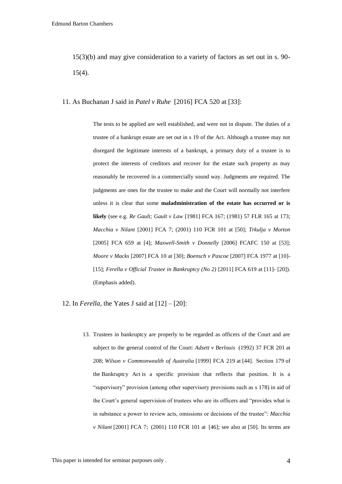15(3)(b) and may give consideration to a variety of factors as set out in s. 90- 15(4).

11. As Buchanan J said in *Patel v Ruhe* [2016] FCA 520 at [33]:

The tests to be applied are well established, and were not in dispute. The duties of a trustee of a bankrupt estate are set out in s 19 of the Act. Although a trustee may not disregard the legitimate interests of a bankrupt, a primary duty of a trustee is to protect the interests of creditors and recover for the estate such property as may reasonably be recovered in a commercially sound way. Judgments are required. The judgments are ones for the trustee to make and the Court will normally not interfere unless it is clear that some **maladministration of the estate has occurred or is likely** (see e.g. *Re Gault; Gault v Law* [\[1981\] FCA 167;](http://www.austlii.edu.au/au/cases/cth/FCA/1981/167.html) [\(1981\) 57 FLR 165](http://www.austlii.edu.au/cgi-bin/LawCite?cit=%281981%29%2057%20FLR%20165) at 173; *Macchia v Nilant* [\[2001\] FCA 7;](http://www.austlii.edu.au/au/cases/cth/FCA/2001/7.html) [\(2001\) 110 FCR 101](http://www.austlii.edu.au/cgi-bin/LawCite?cit=%282001%29%20110%20FCR%20101) at [\[50\];](http://www.austlii.edu.au/au/cases/cth/FCA/2001/7.html#para50) *Trkulja v Morton* [\[2005\] FCA 659](http://www.austlii.edu.au/au/cases/cth/FCA/2005/659.html) at [\[4\];](http://www.austlii.edu.au/au/cases/cth/FCA/2005/659.html#para4) *Maxwell-Smith v Donnelly* [\[2006\] FCAFC 150](http://www.austlii.edu.au/au/cases/cth/FCAFC/2006/150.html) at [\[53\];](http://www.austlii.edu.au/au/cases/cth/FCAFC/2006/150.html#para53) *Moore v Macks* [\[2007\] FCA 10](http://www.austlii.edu.au/au/cases/cth/FCA/2007/10.html) at [\[30\];](http://www.austlii.edu.au/au/cases/cth/FCA/2007/10.html#para30) *Boensch v Pascoe* [\[2007\] FCA 1977](http://www.austlii.edu.au/au/cases/cth/FCA/2007/1977.html) at [\[10\]-](http://www.austlii.edu.au/au/cases/cth/FCA/2007/1977.html#para10) [\[15\];](http://www.austlii.edu.au/au/cases/cth/FCA/2007/1977.html#para15) *Ferella v Official Trustee in Bankruptcy (No 2)* [\[2011\] FCA 619](http://www.austlii.edu.au/au/cases/cth/FCA/2011/619.html) at [\[11\]-](http://www.austlii.edu.au/au/cases/cth/FCA/2011/619.html#para11) [\[20\]\)](http://www.austlii.edu.au/au/cases/cth/FCA/2011/619.html#para20). (Emphasis added).

12. In *Ferella*, the Yates J said at [12] – [20]:

13. Trustees in bankruptcy are properly to be regarded as officers of the Court and are subject to the general control of the Court: *Adsett v Berlouis* [\(1992\) 37 FCR 201](http://www.austlii.edu.au/cgi-bin/LawCite?cit=%281992%29%2037%20FCR%20201?stem=0&synonyms=0&query=title(%222011%20FCA%20619%22)) at 208; *Wilson v Commonwealth of Australia* [\[1999\] FCA 219](http://www.austlii.edu.au/au/cases/cth/FCA/1999/219.html) at [\[44\].](http://www.austlii.edu.au/au/cases/cth/FCA/1999/219.html#para44) [Section 179](http://www.austlii.edu.au/au/legis/cth/consol_act/ba1966142/s179.html) of the [Bankruptcy Act](http://www.austlii.edu.au/au/legis/cth/consol_act/ba1966142/) is a specific provision that reflects that position. It is a "supervisory" provision (among other supervisory provisions such as [s 178\)](http://www.austlii.edu.au/au/legis/cth/consol_act/ba1966142/s178.html) in aid of the Court's general supervision of trustees who are its officers and "provides what is in substance a power to review acts, omissions or decisions of the trustee": *Macchia v Nilant* [\[2001\] FCA 7;](http://www.austlii.edu.au/au/cases/cth/FCA/2001/7.html) [\(2001\) 110 FCR 101](http://www.austlii.edu.au/cgi-bin/LawCite?cit=%282001%29%20110%20FCR%20101?stem=0&synonyms=0&query=title(%222011%20FCA%20619%22)) at [\[46\];](http://www.austlii.edu.au/au/cases/cth/FCA/2001/7.html#para46) see also at [50]. Its terms are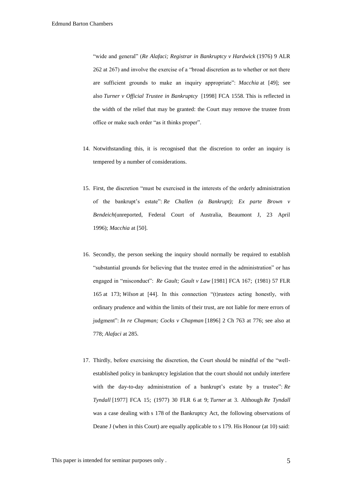"wide and general" (*Re Alafaci; Registrar in Bankruptcy v Hardwick* [\(1976\) 9 ALR](http://www.austlii.edu.au/cgi-bin/LawCite?cit=%281976%29%209%20ALR%20262?stem=0&synonyms=0&query=title(%222011%20FCA%20619%22))  [262](http://www.austlii.edu.au/cgi-bin/LawCite?cit=%281976%29%209%20ALR%20262?stem=0&synonyms=0&query=title(%222011%20FCA%20619%22)) at 267) and involve the exercise of a "broad discretion as to whether or not there are sufficient grounds to make an inquiry appropriate": *Macchia* at [49]; see also *Turner v Official Trustee in Bankruptcy* [\[1998\] FCA 1558.](http://www.austlii.edu.au/au/cases/cth/FCA/1998/1558.html) This is reflected in the width of the relief that may be granted: the Court may remove the trustee from office or make such order "as it thinks proper".

- 14. Notwithstanding this, it is recognised that the discretion to order an inquiry is tempered by a number of considerations.
- 15. First, the discretion "must be exercised in the interests of the orderly administration of the bankrupt's estate": *Re Challen (a Bankrupt); Ex parte Brown v Bendeich*(unreported, Federal Court of Australia, Beaumont J, 23 April 1996); *Macchia* at [50].
- 16. Secondly, the person seeking the inquiry should normally be required to establish "substantial grounds for believing that the trustee erred in the administration" or has engaged in "misconduct": *Re Gault; Gault v Law* [\[1981\] FCA 167;](http://www.austlii.edu.au/au/cases/cth/FCA/1981/167.html) [\(1981\) 57 FLR](http://www.austlii.edu.au/cgi-bin/LawCite?cit=%281981%29%2057%20FLR%20165?stem=0&synonyms=0&query=title(%222011%20FCA%20619%22))  [165](http://www.austlii.edu.au/cgi-bin/LawCite?cit=%281981%29%2057%20FLR%20165?stem=0&synonyms=0&query=title(%222011%20FCA%20619%22)) at 173; *Wilson* at [44]. In this connection "(t)rustees acting honestly, with ordinary prudence and within the limits of their trust, are not liable for mere errors of judgment": *In re Chapman; Cocks v Chapman* [1896] 2 Ch 763 at 776; see also at 778; *Alafaci* at 285.
- 17. Thirdly, before exercising the discretion, the Court should be mindful of the "wellestablished policy in bankruptcy legislation that the court should not unduly interfere with the day-to-day administration of a bankrupt's estate by a trustee": *Re Tyndall* [\[1977\] FCA 15;](http://www.austlii.edu.au/au/cases/cth/FCA/1977/15.html) [\(1977\) 30 FLR 6](http://www.austlii.edu.au/cgi-bin/LawCite?cit=%281977%29%2030%20FLR%206?stem=0&synonyms=0&query=title(%222011%20FCA%20619%22)) at 9; *Turner* at 3. Although *Re Tyndall* was a case dealing with [s 178](http://www.austlii.edu.au/au/legis/cth/consol_act/ba1966142/s178.html) of the [Bankruptcy Act,](http://www.austlii.edu.au/au/legis/cth/consol_act/ba1966142/) the following observations of Deane J (when in this Court) are equally applicable to [s 179.](http://www.austlii.edu.au/au/legis/cth/consol_act/ba1966142/s179.html) His Honour (at 10) said: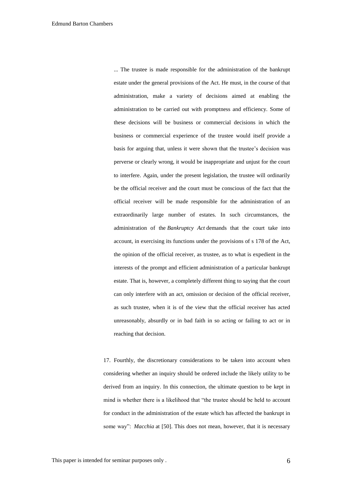... The trustee is made responsible for the administration of the bankrupt estate under the general provisions of the Act. He must, in the course of that administration, make a variety of decisions aimed at enabling the administration to be carried out with promptness and efficiency. Some of these decisions will be business or commercial decisions in which the business or commercial experience of the trustee would itself provide a basis for arguing that, unless it were shown that the trustee's decision was perverse or clearly wrong, it would be inappropriate and unjust for the court to interfere. Again, under the present legislation, the trustee will ordinarily be the official receiver and the court must be conscious of the fact that the official receiver will be made responsible for the administration of an extraordinarily large number of estates. In such circumstances, the administration of the *[Bankruptcy Act](http://www.austlii.edu.au/au/legis/cth/consol_act/ba1966142/)* demands that the court take into account, in exercising its functions under the provisions of [s 178](http://www.austlii.edu.au/au/legis/cth/consol_act/ba1966142/s178.html) of the Act, the opinion of the official receiver, as trustee, as to what is expedient in the interests of the prompt and efficient administration of a particular bankrupt estate. That is, however, a completely different thing to saying that the court can only interfere with an act, omission or decision of the official receiver, as such trustee, when it is of the view that the official receiver has acted unreasonably, absurdly or in bad faith in so acting or failing to act or in reaching that decision.

17. Fourthly, the discretionary considerations to be taken into account when considering whether an inquiry should be ordered include the likely utility to be derived from an inquiry. In this connection, the ultimate question to be kept in mind is whether there is a likelihood that "the trustee should be held to account for conduct in the administration of the estate which has affected the bankrupt in some way": *Macchia* at [50]. This does not mean, however, that it is necessary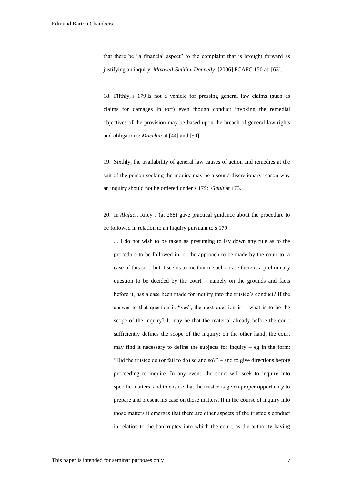that there be "a financial aspect" to the complaint that is brought forward as justifying an inquiry: *Maxwell-Smith v Donnelly* [\[2006\] FCAFC 150](http://www.austlii.edu.au/au/cases/cth/FCAFC/2006/150.html) at [\[63\].](http://www.austlii.edu.au/au/cases/cth/FCAFC/2006/150.html#para63)

18. Fifthly, [s 179](http://www.austlii.edu.au/au/legis/cth/consol_act/ba1966142/s179.html) is not a vehicle for pressing general law claims (such as claims for damages in tort) even though conduct invoking the remedial objectives of the provision may be based upon the breach of general law rights and obligations: *Macchia* at [44] and [50].

19. Sixthly, the availability of general law causes of action and remedies at the suit of the person seeking the inquiry may be a sound discretionary reason why an inquiry should not be ordered under [s 179:](http://www.austlii.edu.au/au/legis/cth/consol_act/ba1966142/s179.html) *Gault* at 173.

20. In *Alafaci*, Riley J (at 268) gave practical guidance about the procedure to be followed in relation to an inquiry pursuant to [s 179:](http://www.austlii.edu.au/au/legis/cth/consol_act/ba1966142/s179.html)

... I do not wish to be taken as presuming to lay down any rule as to the procedure to be followed in, or the approach to be made by the court to, a case of this sort; but it seems to me that in such a case there is a preliminary question to be decided by the court – namely on the grounds and facts before it, has a case been made for inquiry into the trustee's conduct? If the answer to that question is "yes", the next question is  $-$  what is to be the scope of the inquiry? It may be that the material already before the court sufficiently defines the scope of the inquiry; on the other hand, the court may find it necessary to define the subjects for inquiry  $-$  eg in the form: "Did the trustee do (or fail to do) so and so?" – and to give directions before proceeding to inquire. In any event, the court will seek to inquire into specific matters, and to ensure that the trustee is given proper opportunity to prepare and present his case on those matters. If in the course of inquiry into those matters it emerges that there are other aspects of the trustee's conduct in relation to the bankruptcy into which the court, as the authority having